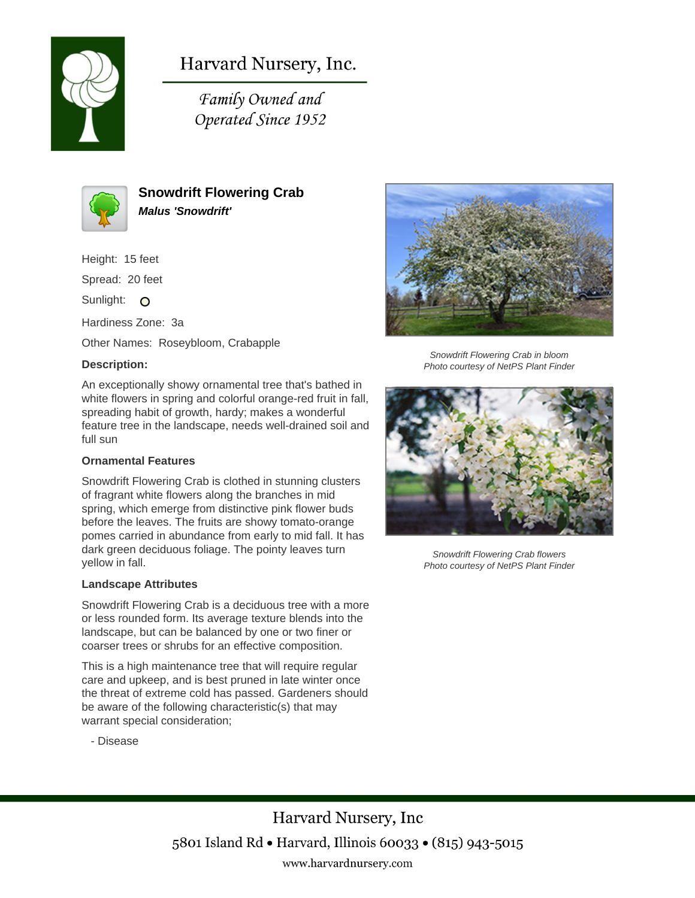

# Harvard Nursery, Inc.

Family Owned and Operated Since 1952



**Snowdrift Flowering Crab Malus 'Snowdrift'**

Height: 15 feet

Spread: 20 feet

Sunlight: O

Hardiness Zone: 3a

Other Names: Roseybloom, Crabapple

### **Description:**

An exceptionally showy ornamental tree that's bathed in white flowers in spring and colorful orange-red fruit in fall, spreading habit of growth, hardy; makes a wonderful feature tree in the landscape, needs well-drained soil and full sun

#### **Ornamental Features**

Snowdrift Flowering Crab is clothed in stunning clusters of fragrant white flowers along the branches in mid spring, which emerge from distinctive pink flower buds before the leaves. The fruits are showy tomato-orange pomes carried in abundance from early to mid fall. It has dark green deciduous foliage. The pointy leaves turn yellow in fall.

#### **Landscape Attributes**

Snowdrift Flowering Crab is a deciduous tree with a more or less rounded form. Its average texture blends into the landscape, but can be balanced by one or two finer or coarser trees or shrubs for an effective composition.

This is a high maintenance tree that will require regular care and upkeep, and is best pruned in late winter once the threat of extreme cold has passed. Gardeners should be aware of the following characteristic(s) that may warrant special consideration;





Snowdrift Flowering Crab in bloom Photo courtesy of NetPS Plant Finder



Snowdrift Flowering Crab flowers Photo courtesy of NetPS Plant Finder

## Harvard Nursery, Inc 5801 Island Rd • Harvard, Illinois 60033 • (815) 943-5015 www.harvardnursery.com